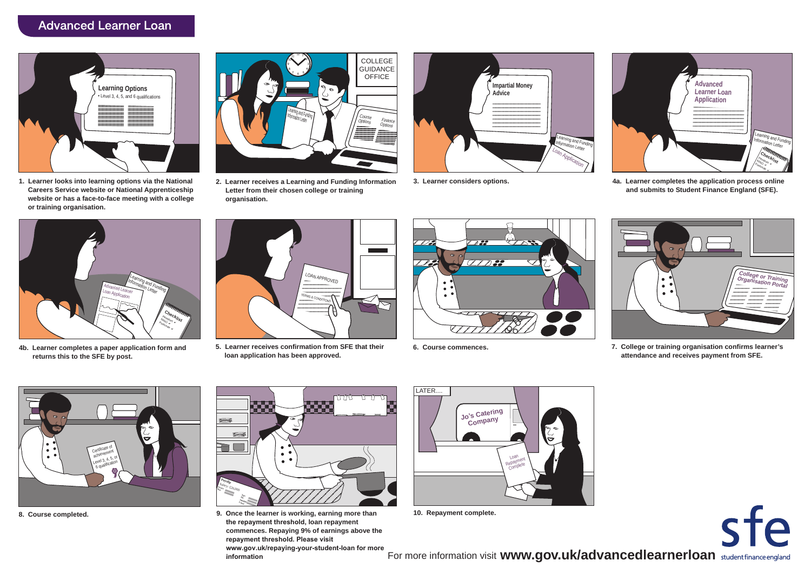## **Advanced Learner Loan**



**1. Learner looks into learning options via the National Careers Service website or National Apprenticeship website or has a face-to-face meeting with a college or training organisation.**



**2. Learner receives a Learning and Funding Information Letter from their chosen college or training organisation.**





**3. Learner considers options. 4a. Learner completes the application process online and submits to Student Finance England (SFE).**



**4b. Learner completes a paper application form and returns this to the SFE by post.**



**5. Learner receives confirmation from SFE that their loan application has been approved.**





**6. Course commences. 7. College or training organisation confirms learner's attendance and receives payment from SFE.**



**8. Course completed.**



**9. Once the learner is working, earning more than the repayment threshold, loan repayment commences. Repaying 9% of earnings above the repayment threshold. Please visit www.gov.uk/repaying-your-student-loan for more . information**



**10. Repayment complete.**

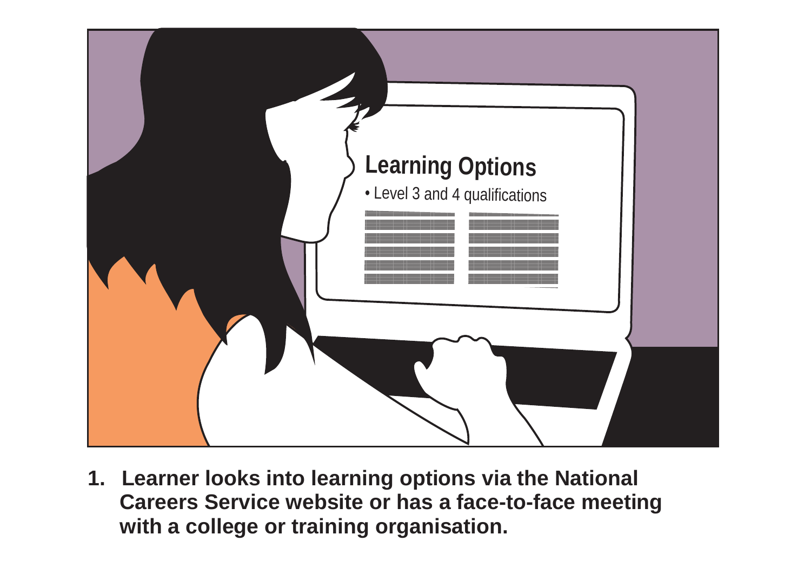

**1. Learner looks into learning options via the National Careers Service website or has a face-to-face meeting with a college or training organisation.**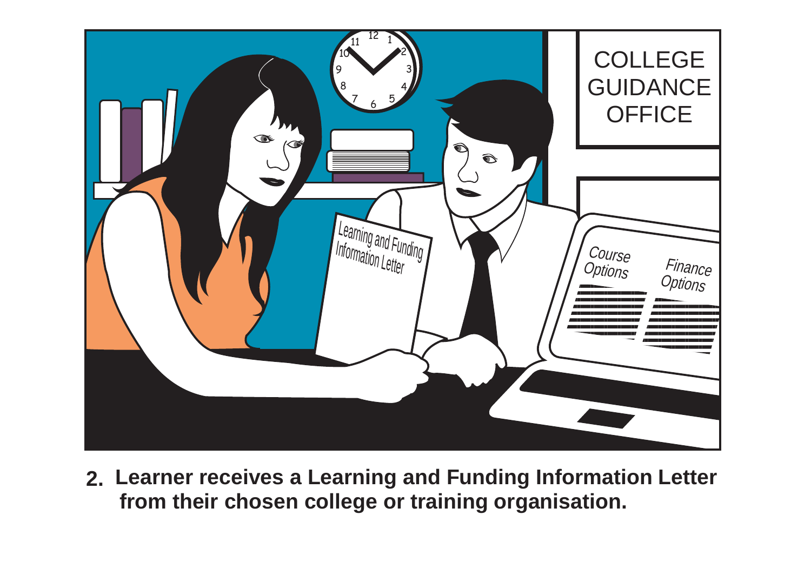

**2. Learner receives a Learning and Funding Information Letter from their chosen college or training organisation.**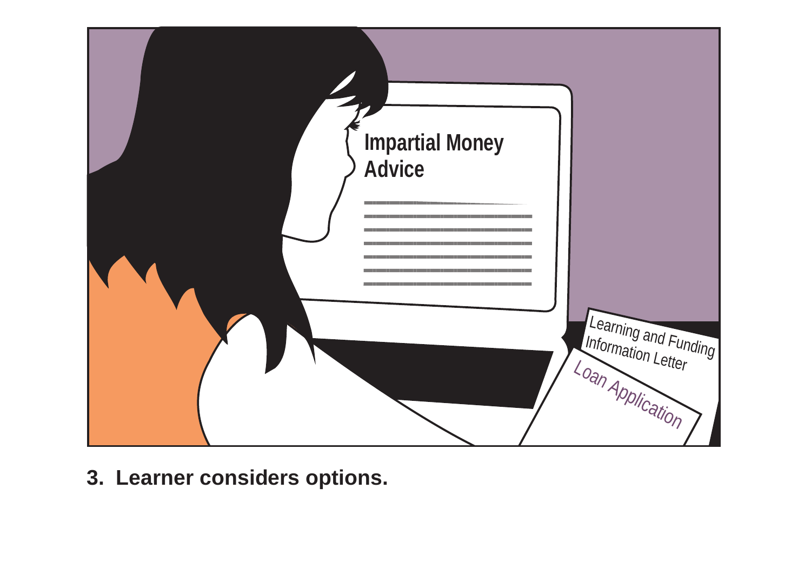

**3. Learner considers options.**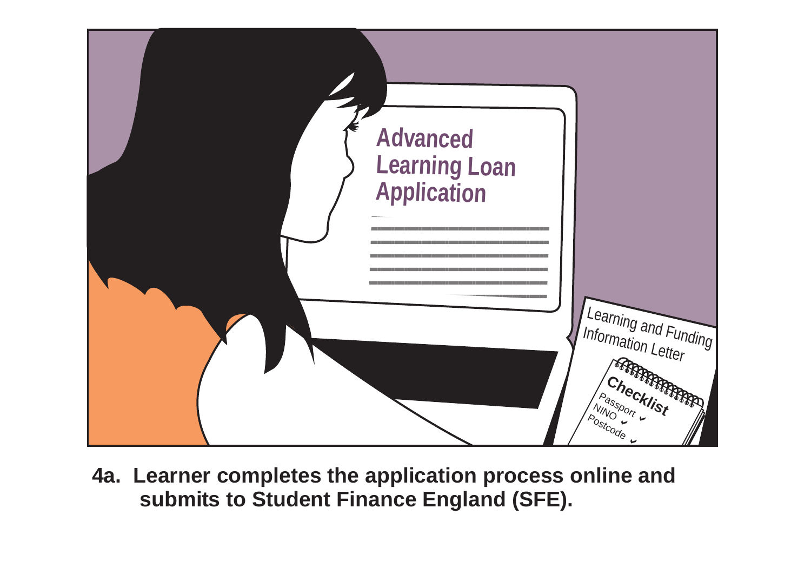

**4a. Learner completes the application process online and submits to Student Finance England (SFE).**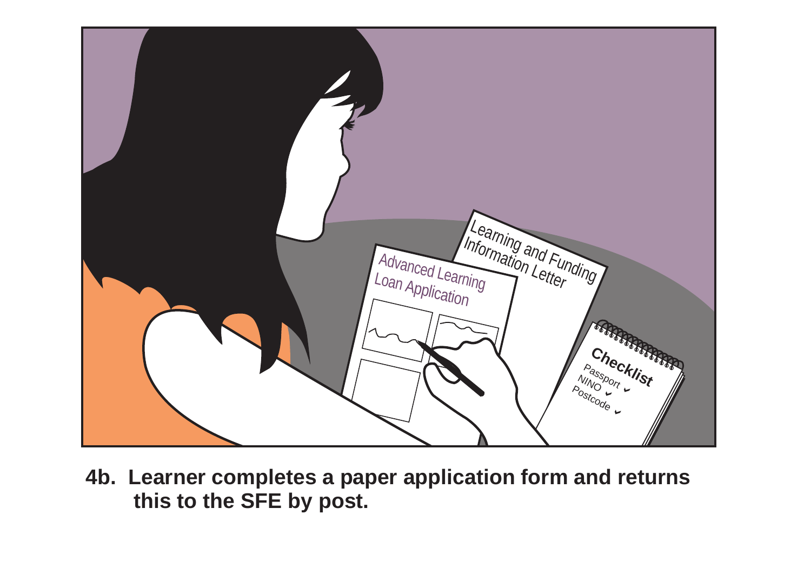

**4b. Learner completes a paper application form and returns this to the SFE by post.**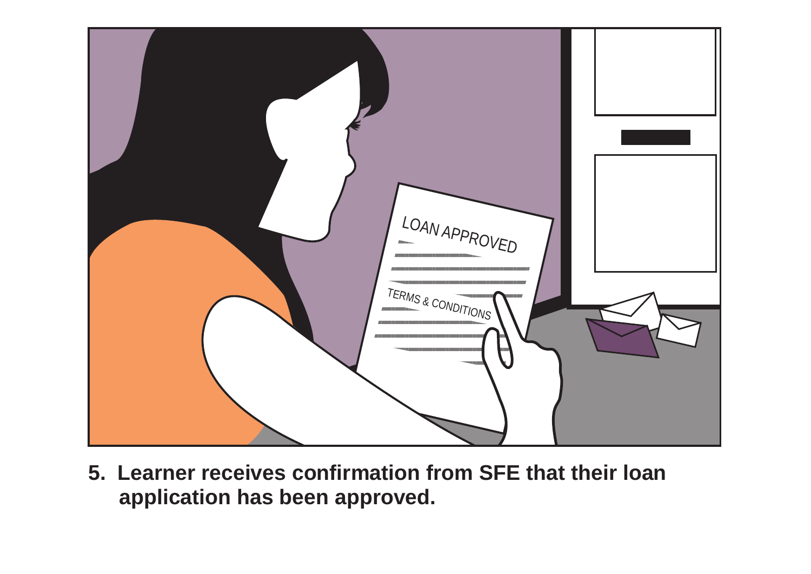

**5. Learner receives confirmation from SFE that their loan application has been approved.**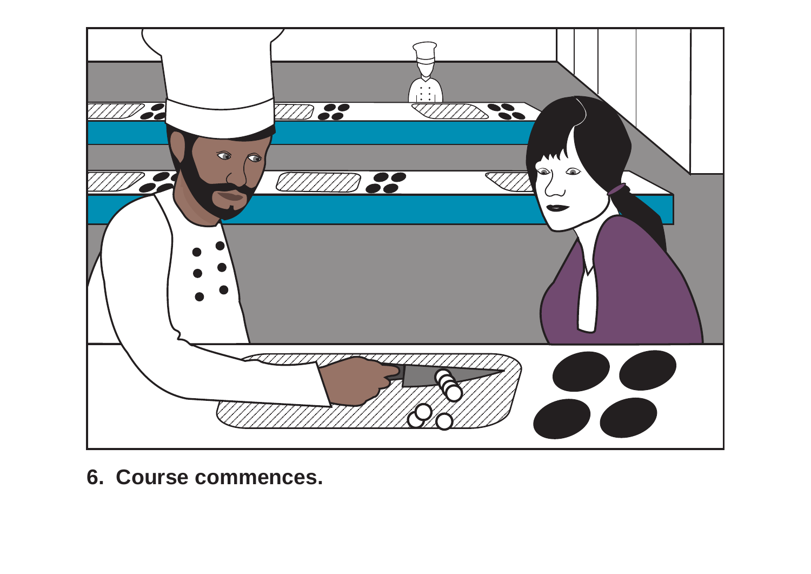

**6. Course commences.**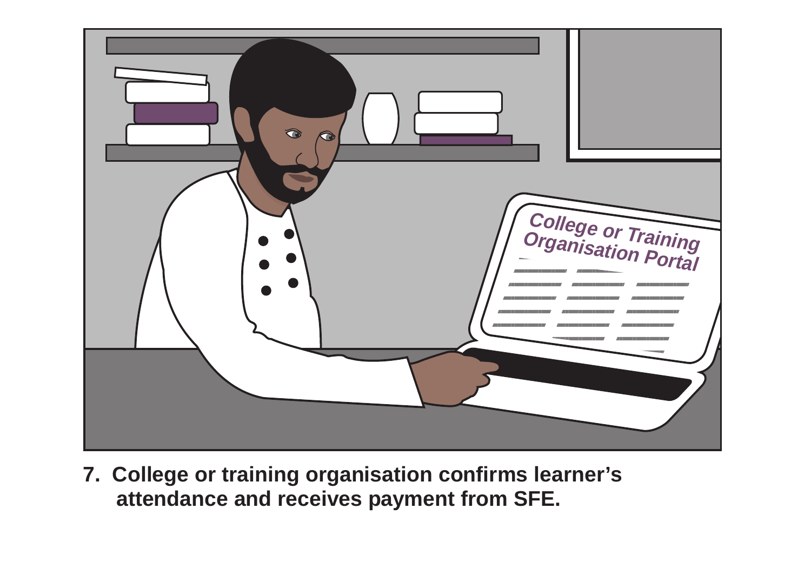

**7. College or training organisation confirms learner's attendance and receives payment from SFE.**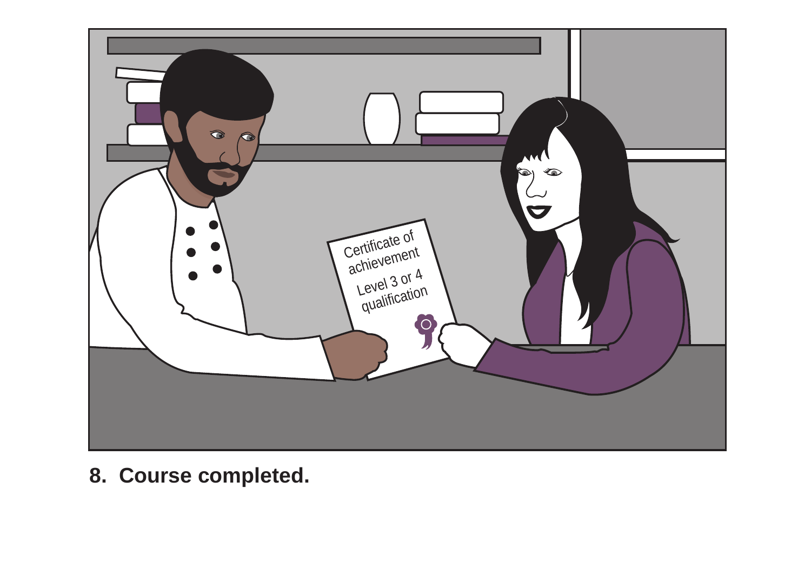

**8. Course completed.**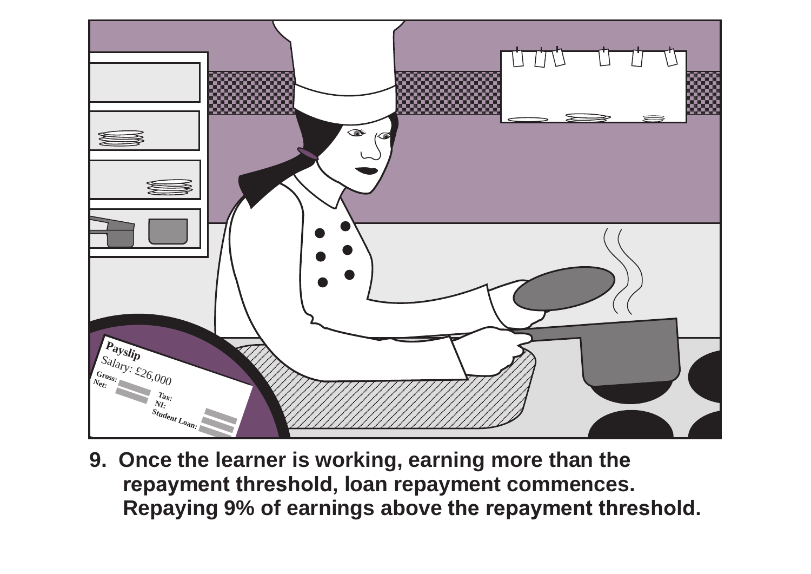

**9. Once the learner is working, earning more than the repayment threshold, loan repayment commences. Repaying 9% of earnings above the repayment threshold.**